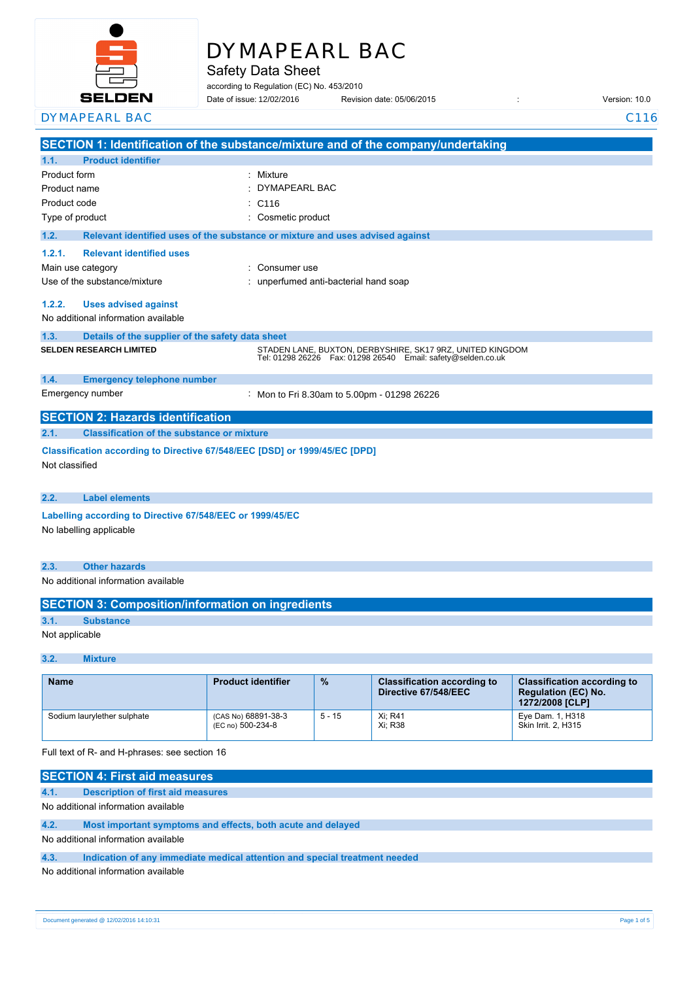

# DYMAPEARL BAC

Safety Data Sheet

according to Regulation (EC) No. 453/2010

| SELDEN                  | Date of issue: 12/02/2016 | Revision date: 05/06/2015 | Version: 10.0 |
|-------------------------|---------------------------|---------------------------|---------------|
| <b>DYMAPEARL</b><br>RA( |                           |                           |               |

|                 |                                                                                              | SECTION 1: Identification of the substance/mixture and of the company/undertaking                                               |  |
|-----------------|----------------------------------------------------------------------------------------------|---------------------------------------------------------------------------------------------------------------------------------|--|
| 1.1.            | <b>Product identifier</b>                                                                    |                                                                                                                                 |  |
| Product form    |                                                                                              | : Mixture                                                                                                                       |  |
| Product name    |                                                                                              | DYMAPEARL BAC                                                                                                                   |  |
| Product code    |                                                                                              | C <sub>116</sub>                                                                                                                |  |
| Type of product |                                                                                              | Cosmetic product                                                                                                                |  |
| 1.2.            |                                                                                              | Relevant identified uses of the substance or mixture and uses advised against                                                   |  |
| 1.2.1.          | <b>Relevant identified uses</b>                                                              |                                                                                                                                 |  |
|                 | Main use category                                                                            | Consumer use                                                                                                                    |  |
|                 | Use of the substance/mixture                                                                 | unperfumed anti-bacterial hand soap                                                                                             |  |
| 1.2.2.          | <b>Uses advised against</b>                                                                  |                                                                                                                                 |  |
|                 | No additional information available                                                          |                                                                                                                                 |  |
| 1.3.            | Details of the supplier of the safety data sheet                                             |                                                                                                                                 |  |
|                 | <b>SELDEN RESEARCH LIMITED</b>                                                               | STADEN LANE, BUXTON, DERBYSHIRE, SK17 9RZ, UNITED KINGDOM<br>Tel: 01298 26226    Fax: 01298 26540    Email: safety@selden.co.uk |  |
| 1.4.            | <b>Emergency telephone number</b>                                                            |                                                                                                                                 |  |
|                 | Emergency number                                                                             | : Mon to Fri 8.30am to 5.00pm - 01298 26226                                                                                     |  |
|                 | <b>SECTION 2: Hazards identification</b>                                                     |                                                                                                                                 |  |
| 2.1.            | <b>Classification of the substance or mixture</b>                                            |                                                                                                                                 |  |
|                 | Classification according to Directive 67/548/EEC [DSD] or 1999/45/EC [DPD]<br>Not classified |                                                                                                                                 |  |
| 2.2.            | <b>Label elements</b>                                                                        |                                                                                                                                 |  |
|                 | Labelling according to Directive 67/548/EEC or 1999/45/EC                                    |                                                                                                                                 |  |
|                 | No labelling applicable                                                                      |                                                                                                                                 |  |
| 2.3.            | <b>Other hazards</b>                                                                         |                                                                                                                                 |  |
|                 | No additional information available                                                          |                                                                                                                                 |  |
|                 | <b>SECTION 3: Composition/information on ingredients</b>                                     |                                                                                                                                 |  |
| 3.1.            | <b>Substance</b>                                                                             |                                                                                                                                 |  |
| Not applicable  |                                                                                              |                                                                                                                                 |  |

## **3.2. Mixture**

| <b>Name</b>                 | <b>Product identifier</b>                | $\frac{9}{6}$ | <b>Classification according to</b><br>Directive 67/548/EEC | <b>Classification according to</b><br><b>Regulation (EC) No.</b><br>1272/2008 [CLP] |
|-----------------------------|------------------------------------------|---------------|------------------------------------------------------------|-------------------------------------------------------------------------------------|
| Sodium laurylether sulphate | (CAS No) 68891-38-3<br>(EC no) 500-234-8 | $5 - 15$      | Xi: R41<br>Xi: R38                                         | Eye Dam. 1, H318<br>Skin Irrit. 2. H315                                             |

Full text of R- and H-phrases: see section 16

|      | <b>SECTION 4: First aid measures</b>                                       |  |  |
|------|----------------------------------------------------------------------------|--|--|
| 4.1. | <b>Description of first aid measures</b>                                   |  |  |
|      | No additional information available                                        |  |  |
| 4.2. | Most important symptoms and effects, both acute and delayed                |  |  |
|      | No additional information available                                        |  |  |
| 4.3. | Indication of any immediate medical attention and special treatment needed |  |  |
|      | No additional information available                                        |  |  |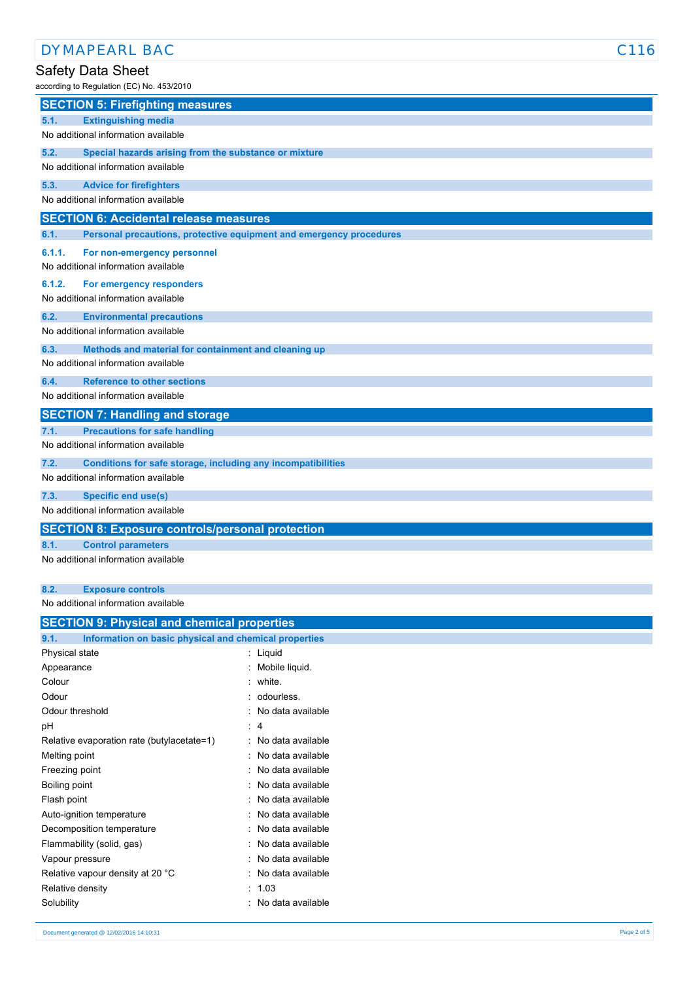# Safety Data Sheet

| according to Regulation (EC) No. 453/2010                                   |
|-----------------------------------------------------------------------------|
| <b>SECTION 5: Firefighting measures</b>                                     |
| <b>Extinguishing media</b><br>5.1.                                          |
| No additional information available                                         |
| 5.2.<br>Special hazards arising from the substance or mixture               |
| No additional information available                                         |
| 5.3.<br><b>Advice for firefighters</b>                                      |
| No additional information available                                         |
| <b>SECTION 6: Accidental release measures</b>                               |
| 6.1.<br>Personal precautions, protective equipment and emergency procedures |
| 6.1.1.<br>For non-emergency personnel                                       |
| No additional information available                                         |
| 6.1.2.<br>For emergency responders                                          |
| No additional information available                                         |
| 6.2.<br><b>Environmental precautions</b>                                    |
| No additional information available                                         |
| 6.3.<br>Methods and material for containment and cleaning up                |
| No additional information available                                         |
| 6.4.<br><b>Reference to other sections</b>                                  |
| No additional information available                                         |
| <b>SECTION 7: Handling and storage</b>                                      |
| <b>Precautions for safe handling</b><br>7.1.                                |
| No additional information available                                         |
| 7.2.<br>Conditions for safe storage, including any incompatibilities        |
| No additional information available                                         |
| 7.3.<br><b>Specific end use(s)</b>                                          |
| No additional information available                                         |
| <b>SECTION 8: Exposure controls/personal protection</b>                     |
| 8.1.<br><b>Control parameters</b>                                           |
| No additional information available                                         |
| 8.2.<br><b>Exposure controls</b>                                            |
| No additional information available                                         |
| <b>SECTION 9: Physical and chemical properties</b>                          |

| Information on basic physical and chemical properties<br>9.1. |                     |
|---------------------------------------------------------------|---------------------|
| Physical state                                                | : Liquid            |
| Appearance                                                    | Mobile liquid.      |
| Colour                                                        | : white.            |
| Odour                                                         | : odourless.        |
| Odour threshold                                               | No data available   |
| рH                                                            | : 4                 |
| Relative evaporation rate (butylacetate=1)                    | No data available   |
| Melting point                                                 | No data available   |
| Freezing point                                                | No data available   |
| Boiling point                                                 | : No data available |
| Flash point                                                   | No data available   |
| Auto-ignition temperature                                     | : No data available |
| Decomposition temperature                                     | No data available   |
| Flammability (solid, gas)                                     | No data available   |
| Vapour pressure                                               | No data available   |
| Relative vapour density at 20 °C                              | No data available   |
| Relative density                                              | : 1.03              |
| Solubility                                                    | No data available   |
|                                                               |                     |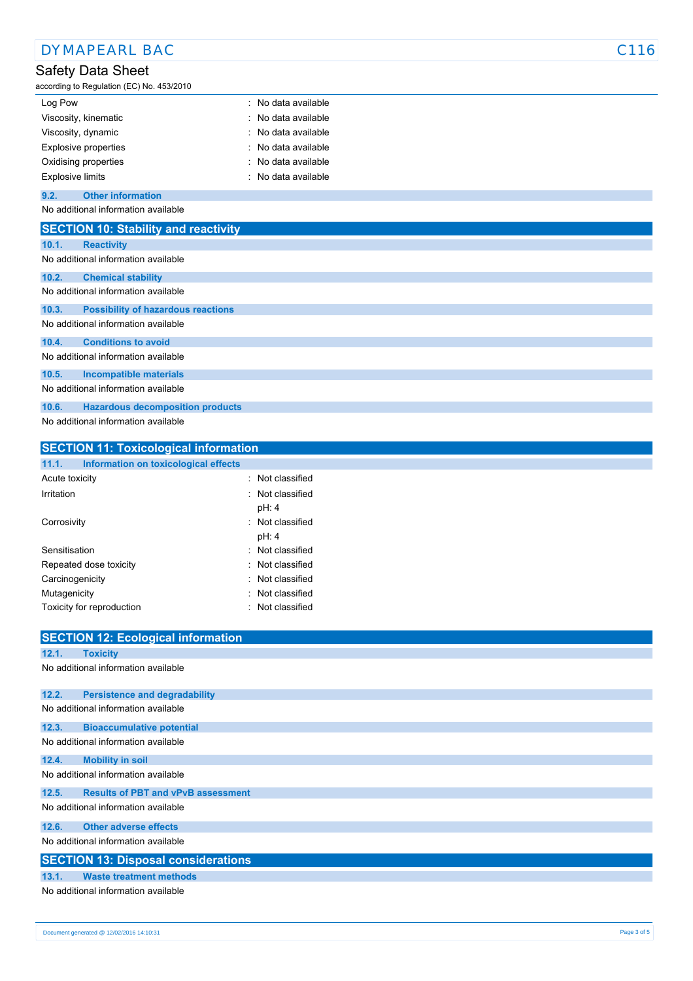|                         | <b>DYMAPEARL BAC</b>                                           |                   | C <sub>116</sub> |
|-------------------------|----------------------------------------------------------------|-------------------|------------------|
|                         | Safety Data Sheet<br>according to Regulation (EC) No. 453/2010 |                   |                  |
| Log Pow                 |                                                                | No data available |                  |
|                         | Viscosity, kinematic                                           | No data available |                  |
|                         | Viscosity, dynamic                                             | No data available |                  |
|                         | <b>Explosive properties</b>                                    | No data available |                  |
|                         | Oxidising properties                                           | No data available |                  |
| <b>Explosive limits</b> |                                                                | No data available |                  |
| 9.2.                    | <b>Other information</b>                                       |                   |                  |
|                         | No additional information available                            |                   |                  |
|                         | <b>SECTION 10: Stability and reactivity</b>                    |                   |                  |
| 10.1.                   | <b>Reactivity</b>                                              |                   |                  |
|                         | No additional information available                            |                   |                  |
| 10.2.                   | <b>Chemical stability</b>                                      |                   |                  |
|                         | No additional information available                            |                   |                  |
| 10.3.                   | <b>Possibility of hazardous reactions</b>                      |                   |                  |
|                         | No additional information available                            |                   |                  |
| 10.4.                   | <b>Conditions to avoid</b>                                     |                   |                  |
|                         | No additional information available                            |                   |                  |
| 10.5.                   | <b>Incompatible materials</b>                                  |                   |                  |
|                         | No additional information available                            |                   |                  |
| 10.6.                   | <b>Hazardous decomposition products</b>                        |                   |                  |
|                         | No additional information available                            |                   |                  |
|                         | <b>SECTION 11: Toxicological information</b>                   |                   |                  |
| 11.1.                   | Information on toxicological effects                           |                   |                  |

| <b>SECTION 12: Ecological information</b>          |
|----------------------------------------------------|
| 12.1.<br><b>Toxicity</b>                           |
| No additional information available                |
| 12.2.<br><b>Persistence and degradability</b>      |
| No additional information available                |
| 12.3.<br><b>Bioaccumulative potential</b>          |
| No additional information available                |
| 12.4.<br><b>Mobility in soil</b>                   |
| No additional information available                |
| 12.5.<br><b>Results of PBT and vPvB assessment</b> |
| No additional information available                |
| <b>Other adverse effects</b><br>12.6.              |
| No additional information available                |
| <b>SECTION 13: Disposal considerations</b>         |
| <b>Waste treatment methods</b><br>13.1.            |
| No additional information available                |

Acute toxicity **in the case of the contract of the contract of the contract of the contract of the contract of the contract of the contract of the contract of the contract of the contract of the contract of the contract of** Irritation : Not classified

Corrosivity **Corrosivity** : Not classified

Sensitisation : Not classified Repeated dose toxicity **in the case of the CR** extends the Repeated dose toxicity Carcinogenicity **Carcinogenicity 1999 Carcinogenicity Carcial Carcial Act 2018 Carcial Carcial Act 2019 Carcial Carcial Act 2019 Carcial Act 2019 Carcial Act 2019 Carcial Act 2019 Carcial Act 2019 Carci** Mutagenicity **in the contract of the Contract of Contract Contract of Contract Contract Contract Contract Contract Contract Contract Contract Contract Contract Contract Contract Contract Contract Contract Contract Contract** Toxicity for reproduction **in the contract of the Contract Contract Contract Contract Contract Contract Contract Contract Contract Contract Contract Contract Contract Contract Contract Contract Contract Contract Contract C** 

pH: 4

pH: 4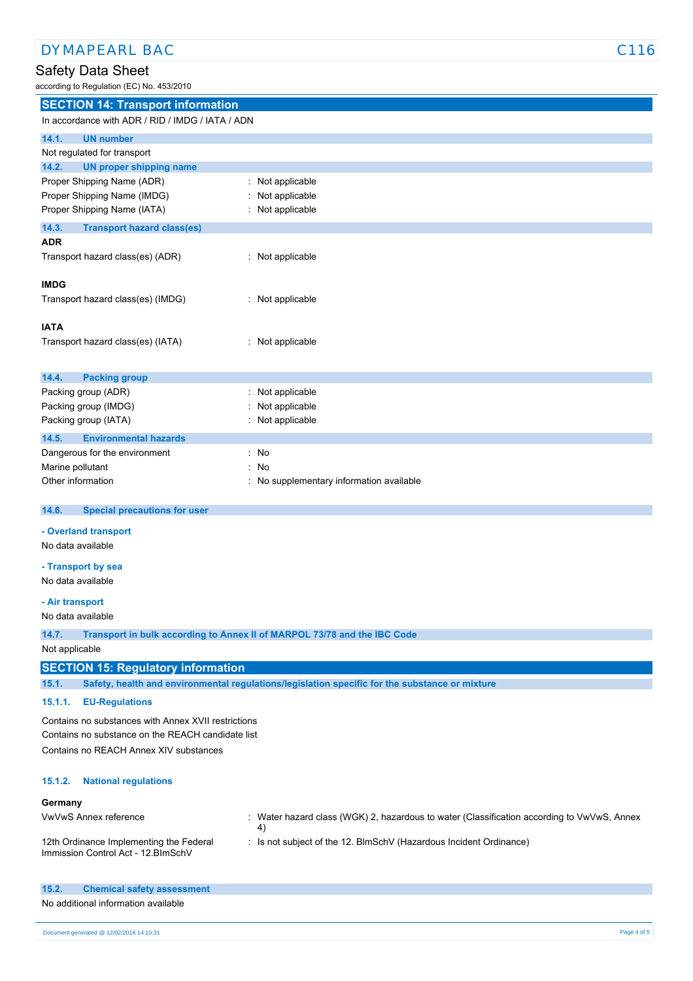## Safety Data Sheet

according to Regulation (EC) No. 453/2010

| <b>SECTION 14: Transport information</b>         |                                        |
|--------------------------------------------------|----------------------------------------|
| In accordance with ADR / RID / IMDG / IATA / ADN |                                        |
| 14.1.<br><b>UN number</b>                        |                                        |
| Not regulated for transport                      |                                        |
| 14.2.<br><b>UN proper shipping name</b>          |                                        |
| Proper Shipping Name (ADR)                       | : Not applicable                       |
| Proper Shipping Name (IMDG)                      | Not applicable                         |
| Proper Shipping Name (IATA)                      | Not applicable                         |
| 14.3.<br><b>Transport hazard class(es)</b>       |                                        |
| <b>ADR</b>                                       |                                        |
| Transport hazard class(es) (ADR)                 | Not applicable                         |
| <b>IMDG</b>                                      |                                        |
| Transport hazard class(es) (IMDG)                | Not applicable                         |
| <b>IATA</b>                                      |                                        |
| Transport hazard class(es) (IATA)                | : Not applicable                       |
| 14.4.<br><b>Packing group</b>                    |                                        |
| Packing group (ADR)                              | Not applicable                         |
| Packing group (IMDG)                             | Not applicable                         |
| Packing group (IATA)                             | Not applicable                         |
| <b>Environmental hazards</b><br>14.5.            |                                        |
| Dangerous for the environment                    | No                                     |
| Marine pollutant                                 | No                                     |
| Other information                                | No supplementary information available |
| 14.6.<br><b>Special precautions for user</b>     |                                        |
| - Overland transport                             |                                        |
| No data available                                |                                        |
| - Transport by sea                               |                                        |
| No data available                                |                                        |
| - Air transport                                  |                                        |
| No data available                                |                                        |

**14.7. Transport in bulk according to Annex II of MARPOL 73/78 and the IBC Code**

Not applicable

# **SECTION 15: Regulatory information**

**15.1. Safety, health and environmental regulations/legislation specific for the substance or mixture**

## **15.1.1. EU-Regulations**

Contains no substances with Annex XVII restrictions Contains no substance on the REACH candidate list Contains no REACH Annex XIV substances

#### **15.1.2. National regulations**

#### **Germany**

| VwVwS Annex reference                                                          | : Water hazard class (WGK) 2, hazardous to water (Classification according to VwVwS, Annex |
|--------------------------------------------------------------------------------|--------------------------------------------------------------------------------------------|
| 12th Ordinance Implementing the Federal<br>Immission Control Act - 12. BlmSchV | : Is not subject of the 12. BlmSchV (Hazardous Incident Ordinance)                         |

| 15.2. | <b>Chemical safety assessment</b>   |
|-------|-------------------------------------|
|       | No additional information available |
|       |                                     |